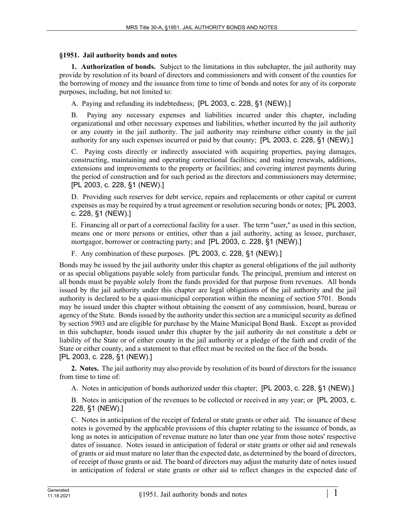## **§1951. Jail authority bonds and notes**

**1. Authorization of bonds.** Subject to the limitations in this subchapter, the jail authority may provide by resolution of its board of directors and commissioners and with consent of the counties for the borrowing of money and the issuance from time to time of bonds and notes for any of its corporate purposes, including, but not limited to:

A. Paying and refunding its indebtedness; [PL 2003, c. 228, §1 (NEW).]

B. Paying any necessary expenses and liabilities incurred under this chapter, including organizational and other necessary expenses and liabilities, whether incurred by the jail authority or any county in the jail authority. The jail authority may reimburse either county in the jail authority for any such expenses incurred or paid by that county; [PL 2003, c. 228, §1 (NEW).]

C. Paying costs directly or indirectly associated with acquiring properties, paying damages, constructing, maintaining and operating correctional facilities; and making renewals, additions, extensions and improvements to the property or facilities; and covering interest payments during the period of construction and for such period as the directors and commissioners may determine; [PL 2003, c. 228, §1 (NEW).]

D. Providing such reserves for debt service, repairs and replacements or other capital or current expenses as may be required by a trust agreement or resolution securing bonds or notes; [PL 2003, c. 228, §1 (NEW).]

E. Financing all or part of a correctional facility for a user. The term "user," as used in this section, means one or more persons or entities, other than a jail authority, acting as lessee, purchaser, mortgagor, borrower or contracting party; and [PL 2003, c. 228, §1 (NEW).]

F. Any combination of these purposes. [PL 2003, c. 228, §1 (NEW).]

Bonds may be issued by the jail authority under this chapter as general obligations of the jail authority or as special obligations payable solely from particular funds. The principal, premium and interest on all bonds must be payable solely from the funds provided for that purpose from revenues. All bonds issued by the jail authority under this chapter are legal obligations of the jail authority and the jail authority is declared to be a quasi-municipal corporation within the meaning of section 5701. Bonds may be issued under this chapter without obtaining the consent of any commission, board, bureau or agency of the State. Bonds issued by the authority under this section are a municipal security as defined by section 5903 and are eligible for purchase by the Maine Municipal Bond Bank. Except as provided in this subchapter, bonds issued under this chapter by the jail authority do not constitute a debt or liability of the State or of either county in the jail authority or a pledge of the faith and credit of the State or either county, and a statement to that effect must be recited on the face of the bonds. [PL 2003, c. 228, §1 (NEW).]

**2. Notes.** The jail authority may also provide by resolution of its board of directors for the issuance from time to time of:

A. Notes in anticipation of bonds authorized under this chapter; [PL 2003, c. 228, §1 (NEW).]

B. Notes in anticipation of the revenues to be collected or received in any year; or [PL 2003, c. 228, §1 (NEW).]

C. Notes in anticipation of the receipt of federal or state grants or other aid. The issuance of these notes is governed by the applicable provisions of this chapter relating to the issuance of bonds, as long as notes in anticipation of revenue mature no later than one year from those notes' respective dates of issuance. Notes issued in anticipation of federal or state grants or other aid and renewals of grants or aid must mature no later than the expected date, as determined by the board of directors, of receipt of those grants or aid. The board of directors may adjust the maturity date of notes issued in anticipation of federal or state grants or other aid to reflect changes in the expected date of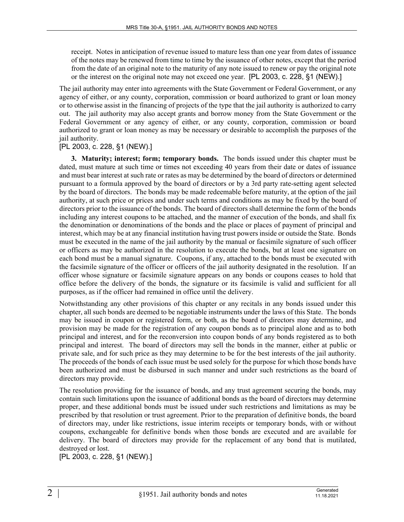receipt. Notes in anticipation of revenue issued to mature less than one year from dates of issuance of the notes may be renewed from time to time by the issuance of other notes, except that the period from the date of an original note to the maturity of any note issued to renew or pay the original note or the interest on the original note may not exceed one year. [PL 2003, c. 228, §1 (NEW).]

The jail authority may enter into agreements with the State Government or Federal Government, or any agency of either, or any county, corporation, commission or board authorized to grant or loan money or to otherwise assist in the financing of projects of the type that the jail authority is authorized to carry out. The jail authority may also accept grants and borrow money from the State Government or the Federal Government or any agency of either, or any county, corporation, commission or board authorized to grant or loan money as may be necessary or desirable to accomplish the purposes of the jail authority.

## [PL 2003, c. 228, §1 (NEW).]

**3. Maturity; interest; form; temporary bonds.** The bonds issued under this chapter must be dated, must mature at such time or times not exceeding 40 years from their date or dates of issuance and must bear interest at such rate or rates as may be determined by the board of directors or determined pursuant to a formula approved by the board of directors or by a 3rd party rate-setting agent selected by the board of directors. The bonds may be made redeemable before maturity, at the option of the jail authority, at such price or prices and under such terms and conditions as may be fixed by the board of directors prior to the issuance of the bonds. The board of directors shall determine the form of the bonds including any interest coupons to be attached, and the manner of execution of the bonds, and shall fix the denomination or denominations of the bonds and the place or places of payment of principal and interest, which may be at any financial institution having trust powers inside or outside the State. Bonds must be executed in the name of the jail authority by the manual or facsimile signature of such officer or officers as may be authorized in the resolution to execute the bonds, but at least one signature on each bond must be a manual signature. Coupons, if any, attached to the bonds must be executed with the facsimile signature of the officer or officers of the jail authority designated in the resolution. If an officer whose signature or facsimile signature appears on any bonds or coupons ceases to hold that office before the delivery of the bonds, the signature or its facsimile is valid and sufficient for all purposes, as if the officer had remained in office until the delivery.

Notwithstanding any other provisions of this chapter or any recitals in any bonds issued under this chapter, all such bonds are deemed to be negotiable instruments under the laws of this State. The bonds may be issued in coupon or registered form, or both, as the board of directors may determine, and provision may be made for the registration of any coupon bonds as to principal alone and as to both principal and interest, and for the reconversion into coupon bonds of any bonds registered as to both principal and interest. The board of directors may sell the bonds in the manner, either at public or private sale, and for such price as they may determine to be for the best interests of the jail authority. The proceeds of the bonds of each issue must be used solely for the purpose for which those bonds have been authorized and must be disbursed in such manner and under such restrictions as the board of directors may provide.

The resolution providing for the issuance of bonds, and any trust agreement securing the bonds, may contain such limitations upon the issuance of additional bonds as the board of directors may determine proper, and these additional bonds must be issued under such restrictions and limitations as may be prescribed by that resolution or trust agreement. Prior to the preparation of definitive bonds, the board of directors may, under like restrictions, issue interim receipts or temporary bonds, with or without coupons, exchangeable for definitive bonds when those bonds are executed and are available for delivery. The board of directors may provide for the replacement of any bond that is mutilated, destroyed or lost.

[PL 2003, c. 228, §1 (NEW).]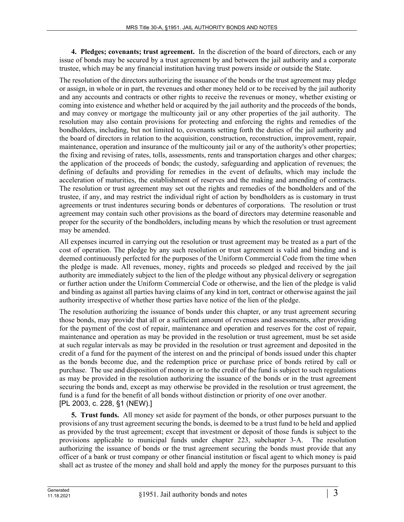**4. Pledges; covenants; trust agreement.** In the discretion of the board of directors, each or any issue of bonds may be secured by a trust agreement by and between the jail authority and a corporate trustee, which may be any financial institution having trust powers inside or outside the State.

The resolution of the directors authorizing the issuance of the bonds or the trust agreement may pledge or assign, in whole or in part, the revenues and other money held or to be received by the jail authority and any accounts and contracts or other rights to receive the revenues or money, whether existing or coming into existence and whether held or acquired by the jail authority and the proceeds of the bonds, and may convey or mortgage the multicounty jail or any other properties of the jail authority. The resolution may also contain provisions for protecting and enforcing the rights and remedies of the bondholders, including, but not limited to, covenants setting forth the duties of the jail authority and the board of directors in relation to the acquisition, construction, reconstruction, improvement, repair, maintenance, operation and insurance of the multicounty jail or any of the authority's other properties; the fixing and revising of rates, tolls, assessments, rents and transportation charges and other charges; the application of the proceeds of bonds; the custody, safeguarding and application of revenues; the defining of defaults and providing for remedies in the event of defaults, which may include the acceleration of maturities, the establishment of reserves and the making and amending of contracts. The resolution or trust agreement may set out the rights and remedies of the bondholders and of the trustee, if any, and may restrict the individual right of action by bondholders as is customary in trust agreements or trust indentures securing bonds or debentures of corporations. The resolution or trust agreement may contain such other provisions as the board of directors may determine reasonable and proper for the security of the bondholders, including means by which the resolution or trust agreement may be amended.

All expenses incurred in carrying out the resolution or trust agreement may be treated as a part of the cost of operation. The pledge by any such resolution or trust agreement is valid and binding and is deemed continuously perfected for the purposes of the Uniform Commercial Code from the time when the pledge is made. All revenues, money, rights and proceeds so pledged and received by the jail authority are immediately subject to the lien of the pledge without any physical delivery or segregation or further action under the Uniform Commercial Code or otherwise, and the lien of the pledge is valid and binding as against all parties having claims of any kind in tort, contract or otherwise against the jail authority irrespective of whether those parties have notice of the lien of the pledge.

The resolution authorizing the issuance of bonds under this chapter, or any trust agreement securing those bonds, may provide that all or a sufficient amount of revenues and assessments, after providing for the payment of the cost of repair, maintenance and operation and reserves for the cost of repair, maintenance and operation as may be provided in the resolution or trust agreement, must be set aside at such regular intervals as may be provided in the resolution or trust agreement and deposited in the credit of a fund for the payment of the interest on and the principal of bonds issued under this chapter as the bonds become due, and the redemption price or purchase price of bonds retired by call or purchase. The use and disposition of money in or to the credit of the fund is subject to such regulations as may be provided in the resolution authorizing the issuance of the bonds or in the trust agreement securing the bonds and, except as may otherwise be provided in the resolution or trust agreement, the fund is a fund for the benefit of all bonds without distinction or priority of one over another. [PL 2003, c. 228, §1 (NEW).]

**5. Trust funds.** All money set aside for payment of the bonds, or other purposes pursuant to the provisions of any trust agreement securing the bonds, is deemed to be a trust fund to be held and applied as provided by the trust agreement; except that investment or deposit of those funds is subject to the provisions applicable to municipal funds under chapter 223, subchapter 3‑A. The resolution authorizing the issuance of bonds or the trust agreement securing the bonds must provide that any officer of a bank or trust company or other financial institution or fiscal agent to which money is paid shall act as trustee of the money and shall hold and apply the money for the purposes pursuant to this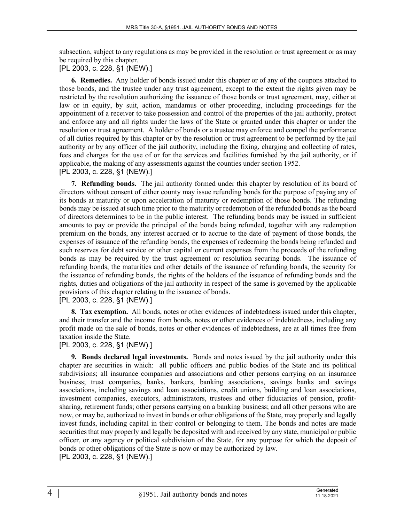subsection, subject to any regulations as may be provided in the resolution or trust agreement or as may be required by this chapter.

[PL 2003, c. 228, §1 (NEW).]

**6. Remedies.** Any holder of bonds issued under this chapter or of any of the coupons attached to those bonds, and the trustee under any trust agreement, except to the extent the rights given may be restricted by the resolution authorizing the issuance of those bonds or trust agreement, may, either at law or in equity, by suit, action, mandamus or other proceeding, including proceedings for the appointment of a receiver to take possession and control of the properties of the jail authority, protect and enforce any and all rights under the laws of the State or granted under this chapter or under the resolution or trust agreement. A holder of bonds or a trustee may enforce and compel the performance of all duties required by this chapter or by the resolution or trust agreement to be performed by the jail authority or by any officer of the jail authority, including the fixing, charging and collecting of rates, fees and charges for the use of or for the services and facilities furnished by the jail authority, or if applicable, the making of any assessments against the counties under section 1952. [PL 2003, c. 228, §1 (NEW).]

**7. Refunding bonds.** The jail authority formed under this chapter by resolution of its board of directors without consent of either county may issue refunding bonds for the purpose of paying any of its bonds at maturity or upon acceleration of maturity or redemption of those bonds. The refunding bonds may be issued at such time prior to the maturity or redemption of the refunded bonds as the board of directors determines to be in the public interest. The refunding bonds may be issued in sufficient amounts to pay or provide the principal of the bonds being refunded, together with any redemption premium on the bonds, any interest accrued or to accrue to the date of payment of those bonds, the expenses of issuance of the refunding bonds, the expenses of redeeming the bonds being refunded and such reserves for debt service or other capital or current expenses from the proceeds of the refunding bonds as may be required by the trust agreement or resolution securing bonds. The issuance of refunding bonds, the maturities and other details of the issuance of refunding bonds, the security for the issuance of refunding bonds, the rights of the holders of the issuance of refunding bonds and the rights, duties and obligations of the jail authority in respect of the same is governed by the applicable provisions of this chapter relating to the issuance of bonds.

[PL 2003, c. 228, §1 (NEW).]

**8. Tax exemption.** All bonds, notes or other evidences of indebtedness issued under this chapter, and their transfer and the income from bonds, notes or other evidences of indebtedness, including any profit made on the sale of bonds, notes or other evidences of indebtedness, are at all times free from taxation inside the State.

## [PL 2003, c. 228, §1 (NEW).]

**9. Bonds declared legal investments.** Bonds and notes issued by the jail authority under this chapter are securities in which: all public officers and public bodies of the State and its political subdivisions; all insurance companies and associations and other persons carrying on an insurance business; trust companies, banks, bankers, banking associations, savings banks and savings associations, including savings and loan associations, credit unions, building and loan associations, investment companies, executors, administrators, trustees and other fiduciaries of pension, profitsharing, retirement funds; other persons carrying on a banking business; and all other persons who are now, or may be, authorized to invest in bonds or other obligations of the State, may properly and legally invest funds, including capital in their control or belonging to them. The bonds and notes are made securities that may properly and legally be deposited with and received by any state, municipal or public officer, or any agency or political subdivision of the State, for any purpose for which the deposit of bonds or other obligations of the State is now or may be authorized by law.

[PL 2003, c. 228, §1 (NEW).]